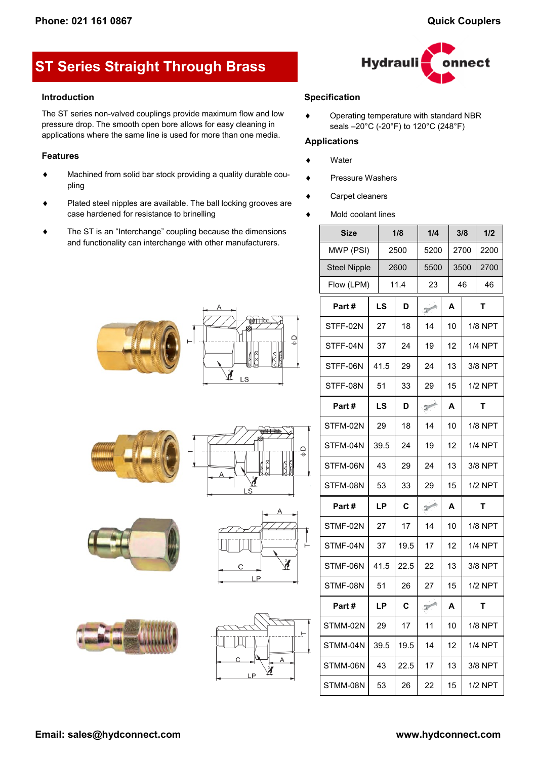# **ST Series Straight Through Brass**

#### **Introduction**

The ST series non-valved couplings provide maximum flow and low pressure drop. The smooth open bore allows for easy cleaning in applications where the same line is used for more than one media.

## **Features**

- Machined from solid bar stock providing a quality durable coupling
- Plated steel nipples are available. The ball locking grooves are case hardened for resistance to brinelling
- The ST is an "Interchange" coupling because the dimensions and functionality can interchange with other manufacturers.



## **Specification**

◆ Operating temperature with standard NBR seals –20°C (-20°F) to 120°C (248°F)

## **Applications**

- Water
- ◆ Pressure Washers
- Carpet cleaners
- Mold coolant lines

| <b>Size</b>         |      | 1/8  | 1/4                         |   | 3/8  |                | 1/2            |
|---------------------|------|------|-----------------------------|---|------|----------------|----------------|
| MWP (PSI)           |      | 2500 | 5200                        |   | 2700 |                | 2200           |
| <b>Steel Nipple</b> |      | 2600 | 5500                        |   | 3500 |                | 2700           |
| Flow (LPM)          |      | 11.4 | 23                          |   | 46   |                | 46             |
| Part#               | LS   | D    | $\mathcal{D}^{\text{max}}$  | A |      | т              |                |
| STFF-02N            | 27   | 18   | 14                          |   | 10   |                | <b>1/8 NPT</b> |
| STFF-04N            | 37   | 24   | 19                          |   | 12   |                | 1/4 NPT        |
| STFF-06N            | 41.5 | 29   | 24                          |   | 13   |                | 3/8 NPT        |
| STFF-08N            | 51   | 33   | 29                          |   | 15   | <b>1/2 NPT</b> |                |
| Part#               | LS   | D    | $\rightarrow$               |   | A    | т              |                |
| STFM-02N            | 29   | 18   | 14                          |   | 10   |                | <b>1/8 NPT</b> |
| STFM-04N            | 39.5 | 24   | 19                          |   | 12   |                | <b>1/4 NPT</b> |
| STFM-06N            | 43   | 29   | 24                          |   | 13   |                | 3/8 NPT        |
| STFM-08N            | 53   | 33   | 29                          |   | 15   |                | 1/2 NPT        |
| Part#               | LP   | C    | $\mathcal{D}^{\text{out}}$  |   | A    |                | т              |
| STMF-02N            | 27   | 17   | 14                          |   | 10   |                | <b>1/8 NPT</b> |
| STMF-04N            | 37   | 19.5 | 17                          |   | 12   |                | 1/4 NPT        |
| STMF-06N            | 41.5 | 22.5 | 22                          |   | 13   |                | 3/8 NPT        |
| STMF-08N            | 51   | 26   | 27                          |   | 15   |                | $1/2$ NPT      |
| Part #              | LP   | C    | $\mathcal{P}^{\mathcal{A}}$ |   | A    |                | т              |
| STMM-02N            | 29   | 17   | 11                          |   | 10   |                | <b>1/8 NPT</b> |
| STMM-04N            | 39.5 | 19.5 | 14                          |   | 12   |                | <b>1/4 NPT</b> |
| STMM-06N            | 43   | 22.5 | 17                          |   | 13   |                | 3/8 NPT        |
| STMM-08N            | 53   | 26   | 22                          |   | 15   |                | 1/2 NPT        |













 $\Box$